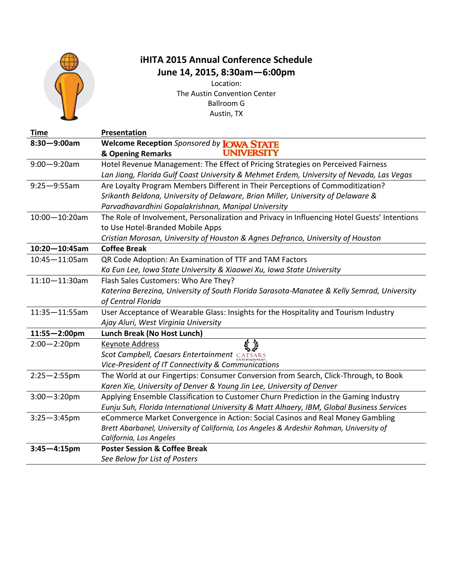

#### **iHITA 2015 Annual Conference Schedule June 14, 2015, 8:30am—6:00pm**

Location: The Austin Convention Center Ballroom G Austin, TX

| <b>Time</b>        | Presentation                                                                                 |
|--------------------|----------------------------------------------------------------------------------------------|
| $8:30 - 9:00$ am   | Welcome Reception Sponsored by <b>JOWA STATE</b>                                             |
|                    | <b>UNIVERSITY</b><br>& Opening Remarks                                                       |
| $9:00 - 9:20$ am   | Hotel Revenue Management: The Effect of Pricing Strategies on Perceived Fairness             |
|                    | Lan Jiang, Florida Gulf Coast University & Mehmet Erdem, University of Nevada, Las Vegas     |
| $9:25 - 9:55$ am   | Are Loyalty Program Members Different in Their Perceptions of Commoditization?               |
|                    | Srikanth Beldona, University of Delaware, Brian Miller, University of Delaware &             |
|                    | Parvadhavardhini Gopalakrishnan, Manipal University                                          |
| $10:00 - 10:20$ am | The Role of Involvement, Personalization and Privacy in Influencing Hotel Guests' Intentions |
|                    | to Use Hotel-Branded Mobile Apps                                                             |
|                    | Cristian Morosan, University of Houston & Agnes Defranco, University of Houston              |
| $10:20 - 10:45$ am | <b>Coffee Break</b>                                                                          |
| 10:45-11:05am      | QR Code Adoption: An Examination of TTF and TAM Factors                                      |
|                    | Ka Eun Lee, Iowa State University & Xiaowei Xu, Iowa State University                        |
| $11:10 - 11:30$ am | Flash Sales Customers: Who Are They?                                                         |
|                    | Katerina Berezina, University of South Florida Sarasota-Manatee & Kelly Semrad, University   |
|                    | of Central Florida                                                                           |
| $11:35 - 11:55$ am | User Acceptance of Wearable Glass: Insights for the Hospitality and Tourism Industry         |
|                    | Ajay Aluri, West Virginia University                                                         |
| $11:55 - 2:00$ pm  | Lunch Break (No Host Lunch)                                                                  |
| $2:00 - 2:20$ pm   | Keynote Address                                                                              |
|                    | Scot Campbell, Caesars Entertainment CAESARS                                                 |
|                    | Vice-President of IT Connectivity & Communications                                           |
| $2:25 - 2:55$ pm   | The World at our Fingertips: Consumer Conversion from Search, Click-Through, to Book         |
|                    | Karen Xie, University of Denver & Young Jin Lee, University of Denver                        |
| $3:00 - 3:20$ pm   | Applying Ensemble Classification to Customer Churn Prediction in the Gaming Industry         |
|                    | Eunju Suh, Florida International University & Matt Alhaery, IBM, Global Business Services    |
| $3:25 - 3:45$ pm   | eCommerce Market Convergence in Action: Social Casinos and Real Money Gambling               |
|                    | Brett Abarbanel, University of California, Los Angeles & Ardeshir Rahman, University of      |
|                    | California, Los Angeles                                                                      |
| $3:45 - 4:15$ pm   | <b>Poster Session &amp; Coffee Break</b>                                                     |
|                    | See Below for List of Posters                                                                |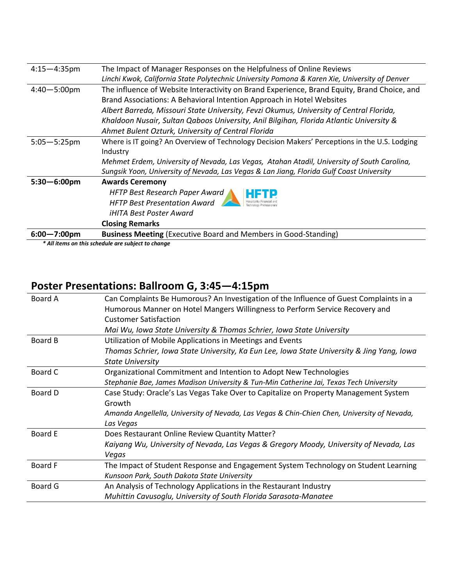| $4:15 - 4:35$ pm        | The Impact of Manager Responses on the Helpfulness of Online Reviews                          |
|-------------------------|-----------------------------------------------------------------------------------------------|
|                         | Linchi Kwok, California State Polytechnic University Pomona & Karen Xie, University of Denver |
| $4:40 - 5:00 \text{pm}$ | The influence of Website Interactivity on Brand Experience, Brand Equity, Brand Choice, and   |
|                         | Brand Associations: A Behavioral Intention Approach in Hotel Websites                         |
|                         | Albert Barreda, Missouri State University, Fevzi Okumus, University of Central Florida,       |
|                         | Khaldoon Nusair, Sultan Qaboos University, Anil Bilgihan, Florida Atlantic University &       |
|                         | Ahmet Bulent Ozturk, University of Central Florida                                            |
| $5:05 - 5:25$ pm        | Where is IT going? An Overview of Technology Decision Makers' Perceptions in the U.S. Lodging |
|                         | Industry                                                                                      |
|                         | Mehmet Erdem, University of Nevada, Las Vegas, Atahan Atadil, University of South Carolina,   |
|                         | Sungsik Yoon, University of Nevada, Las Vegas & Lan Jiang, Florida Gulf Coast University      |
| $5:30 - 6:00$ pm        | <b>Awards Ceremony</b>                                                                        |
|                         | HFTP Best Research Paper Award                                                                |
|                         | <b>HFTP Best Presentation Award</b>                                                           |
|                         | <i>iHITA Best Poster Award</i>                                                                |
|                         | <b>Closing Remarks</b>                                                                        |
| $6:00 - 7:00$ pm        | <b>Business Meeting (Executive Board and Members in Good-Standing)</b>                        |

*\* All items on this schedule are subject to change*

### **Poster Presentations: Ballroom G, 3:45—4:15pm**

| Board A | Can Complaints Be Humorous? An Investigation of the Influence of Guest Complaints in a      |
|---------|---------------------------------------------------------------------------------------------|
|         | Humorous Manner on Hotel Mangers Willingness to Perform Service Recovery and                |
|         | <b>Customer Satisfaction</b>                                                                |
|         | Mai Wu, Iowa State University & Thomas Schrier, Iowa State University                       |
| Board B | Utilization of Mobile Applications in Meetings and Events                                   |
|         | Thomas Schrier, Iowa State University, Ka Eun Lee, Iowa State University & Jing Yang, Iowa  |
|         | <b>State University</b>                                                                     |
| Board C | Organizational Commitment and Intention to Adopt New Technologies                           |
|         | Stephanie Bae, James Madison University & Tun-Min Catherine Jai, Texas Tech University      |
| Board D | Case Study: Oracle's Las Vegas Take Over to Capitalize on Property Management System        |
|         | Growth                                                                                      |
|         | Amanda Angellella, University of Nevada, Las Vegas & Chin-Chien Chen, University of Nevada, |
|         | Las Vegas                                                                                   |
| Board E | Does Restaurant Online Review Quantity Matter?                                              |
|         | Kaiyang Wu, University of Nevada, Las Vegas & Gregory Moody, University of Nevada, Las      |
|         | Vegas                                                                                       |
| Board F | The Impact of Student Response and Engagement System Technology on Student Learning         |
|         | Kunsoon Park, South Dakota State University                                                 |
| Board G | An Analysis of Technology Applications in the Restaurant Industry                           |
|         | Muhittin Cavusoglu, University of South Florida Sarasota-Manatee                            |